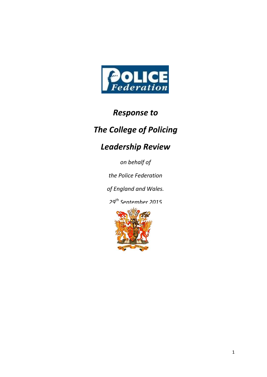

## *Response to*

# *The College of Policing*

# *Leadership Review*

*on behalf of*

*the Police Federation*

*of England and Wales.*

*29th September 2015*

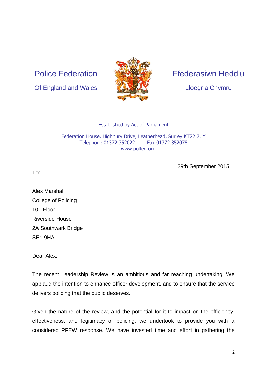Police Federation





## Ffederasiwn Heddlu

Lloegr a Chymru

#### Established by Act of Parliament

#### Federation House, Highbury Drive, Leatherhead, Surrey KT22 7UY Telephone 01372 352022 Fax 01372 352078 [www.polfed.org](http://www.polfed.org/)

29th September 2015

To:

Alex Marshall College of Policing  $10^{th}$  Floor Riverside House 2A Southwark Bridge SE1 9HA

Dear Alex,

The recent Leadership Review is an ambitious and far reaching undertaking. We applaud the intention to enhance officer development, and to ensure that the service delivers policing that the public deserves.

Given the nature of the review, and the potential for it to impact on the efficiency, effectiveness, and legitimacy of policing, we undertook to provide you with a considered PFEW response. We have invested time and effort in gathering the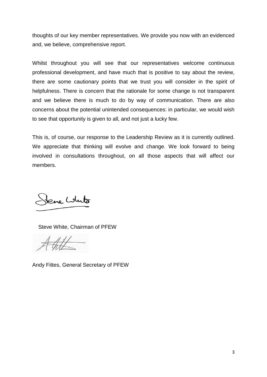thoughts of our key member representatives. We provide you now with an evidenced and, we believe, comprehensive report.

Whilst throughout you will see that our representatives welcome continuous professional development, and have much that is positive to say about the review, there are some cautionary points that we trust you will consider in the spirit of helpfulness. There is concern that the rationale for some change is not transparent and we believe there is much to do by way of communication. There are also concerns about the potential unintended consequences: in particular, we would wish to see that opportunity is given to all, and not just a lucky few.

This is, of course, our response to the Leadership Review as it is currently outlined. We appreciate that thinking will evolve and change. We look forward to being involved in consultations throughout, on all those aspects that will affect our members.

Jene Louto

Steve White, Chairman of PFEW

Andy Fittes, General Secretary of PFEW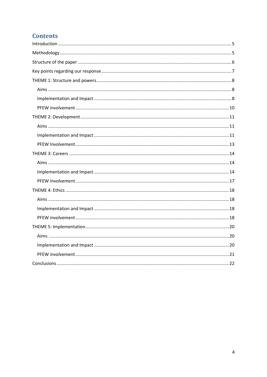## **Contents**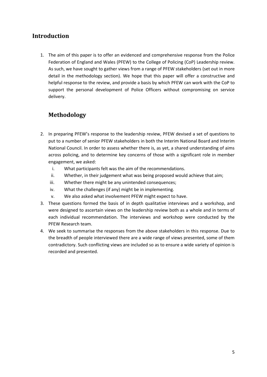## <span id="page-4-0"></span>**Introduction**

1. The aim of this paper is to offer an evidenced and comprehensive response from the Police Federation of England and Wales (PFEW) to the College of Policing (CoP) Leadership review. As such, we have sought to gather views from a range of PFEW stakeholders (set out in more detail in the methodology section). We hope that this paper will offer a constructive and helpful response to the review, and provide a basis by which PFEW can work with the CoP to support the personal development of Police Officers without compromising on service delivery.

## <span id="page-4-1"></span>**Methodology**

- 2. In preparing PFEW's response to the leadership review, PFEW devised a set of questions to put to a number of senior PFEW stakeholders in both the Interim National Board and Interim National Council. In order to assess whether there is, as yet, a shared understanding of aims across policing, and to determine key concerns of those with a significant role in member engagement, we asked:
	- i. What participants felt was the aim of the recommendations.
	- ii. Whether, in their judgement what was being proposed would achieve that aim;
	- iii. Whether there might be any unintended consequences;
	- iv. What the challenges (if any) might be in implementing.
	- v. We also asked what involvement PFEW might expect to have.
- 3. These questions formed the basis of in depth qualitative interviews and a workshop, and were designed to ascertain views on the leadership review both as a whole and in terms of each individual recommendation. The interviews and workshop were conducted by the PFEW Research team.
- 4. We seek to summarise the responses from the above stakeholders in this response. Due to the breadth of people interviewed there are a wide range of views presented, some of them contradictory. Such conflicting views are included so as to ensure a wide variety of opinion is recorded and presented.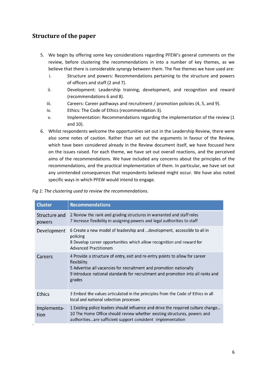## <span id="page-5-0"></span>**Structure of the paper**

- 5. We begin by offering some key considerations regarding PFEW's general comments on the review, before clustering the recommendations in into a number of key themes, as we believe that there is considerable synergy between them. The five themes we have used are:
	- i. Structure and powers: Recommendations pertaining to the structure and powers of officers and staff (2 and 7).
	- ii. Development: Leadership training, development, and recognition and reward (recommendations 6 and 8).
	- iii. Careers: Career pathways and recruitment / promotion policies (4, 5, and 9).
	- iv. Ethics: The Code of Ethics (recommendation 3).
	- v. Implementation: Recommendations regarding the implementation of the review (1 and 10).
- 6. Whilst respondents welcome the opportunities set out in the Leadership Review, there were also some notes of caution. Rather than set out the arguments in favour of the Review, which have been considered already in the Review document itself, we have focused here on the issues raised. For each theme, we have set out overall reactions, and the perceived aims of the recommendations. We have included any concerns about the principles of the recommendations, and the practical implementation of them. In particular, we have set out any unintended consequences that respondents believed might occur. We have also noted specific ways in which PFEW would intend to engage.

|  | Fig 1: The clustering used to review the recommendations. |  |  |
|--|-----------------------------------------------------------|--|--|
|--|-----------------------------------------------------------|--|--|

| <b>Cluster</b>          | <b>Recommendations</b>                                                                                                                                                                                                                                          |
|-------------------------|-----------------------------------------------------------------------------------------------------------------------------------------------------------------------------------------------------------------------------------------------------------------|
| Structure and<br>powers | 2 Review the rank and grading structures in warranted and staff roles<br>7 Increase flexibility in assigning powers and legal authorities to staff                                                                                                              |
| Development             | 6 Create a new model of leadership and  development, accessible to all in<br>policing<br>8 Develop career opportunities which allow recognition and reward for<br><b>Advanced Practitioners</b>                                                                 |
| Careers                 | 4 Provide a structure of entry, exit and re-entry points to allow for career<br>flexibility.<br>5 Advertise all vacancies for recruitment and promotion nationally<br>9 Introduce national standards for recruitment and promotion into all ranks and<br>grades |
| <b>Ethics</b>           | 3 Embed the values articulated in the principles from the Code of Ethics in all<br>local and national selection processes                                                                                                                                       |
| Implementa-<br>tion     | 1 Existing police leaders should influence and drive the required culture change<br>10 The Home Office should review whether existing structures, powers and<br>authoritiesare sufficient support consistent implementation                                     |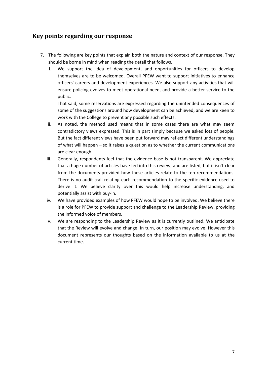## <span id="page-6-0"></span>**Key points regarding our response**

- 7. The following are key points that explain both the nature and context of our response. They should be borne in mind when reading the detail that follows.
	- i. We support the idea of development, and opportunities for officers to develop themselves are to be welcomed. Overall PFEW want to support initiatives to enhance officers' careers and development experiences. We also support any activities that will ensure policing evolves to meet operational need, and provide a better service to the public.

That said, some reservations are expressed regarding the unintended consequences of some of the suggestions around how development can be achieved, and we are keen to work with the College to prevent any possible such effects.

- ii. As noted, the method used means that in some cases there are what may seem contradictory views expressed. This is in part simply because we asked lots of people. But the fact different views have been put forward may reflect different understandings of what will happen – so it raises a question as to whether the current communications are clear enough.
- iii. Generally, respondents feel that the evidence base is not transparent. We appreciate that a huge number of articles have fed into this review, and are listed, but it isn't clear from the documents provided how these articles relate to the ten recommendations. There is no audit trail relating each recommendation to the specific evidence used to derive it. We believe clarity over this would help increase understanding, and potentially assist with buy-in.
- iv. We have provided examples of how PFEW would hope to be involved. We believe there is a role for PFEW to provide support and challenge to the Leadership Review, providing the informed voice of members.
- v. We are responding to the Leadership Review as it is currently outlined. We anticipate that the Review will evolve and change. In turn, our position may evolve. However this document represents our thoughts based on the information available to us at the current time.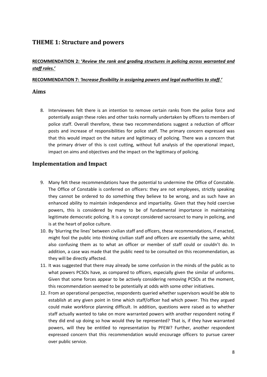## <span id="page-7-0"></span>**THEME 1: Structure and powers**

#### **RECOMMENDATION 2: '***Review the rank and grading structures in policing across warranted and staff roles.'*

#### **RECOMMENDATION 7:** *'Increase flexibility in assigning powers and legal authorities to staff.'*

#### <span id="page-7-1"></span>**Aims**

8. Interviewees felt there is an intention to remove certain ranks from the police force and potentially assign these roles and other tasks normally undertaken by officers to members of police staff. Overall therefore, these two recommendations suggest a reduction of officer posts and increase of responsibilities for police staff. The primary concern expressed was that this would impact on the nature and legitimacy of policing. There was a concern that the primary driver of this is cost cutting, without full analysis of the operational impact, impact on aims and objectives and the impact on the legitimacy of policing.

#### <span id="page-7-2"></span>**Implementation and Impact**

- 9. Many felt these recommendations have the potential to undermine the Office of Constable. The Office of Constable is conferred on officers: they are not employees, strictly speaking they cannot be ordered to do something they believe to be wrong, and as such have an enhanced ability to maintain independence and impartiality. Given that they hold coercive powers, this is considered by many to be of fundamental importance in maintaining legitimate democratic policing. It is a concept considered sacrosanct to many in policing, and is at the heart of police culture.
- 10. By 'blurring the lines' between civilian staff and officers, these recommendations, if enacted, might fool the public into thinking civilian staff and officers are essentially the same, whilst also confusing them as to what an officer or member of staff could or couldn't do. In addition, a case was made that the public need to be consulted on this recommendation, as they will be directly affected.
- 11. It was suggested that there may already be some confusion in the minds of the public as to what powers PCSOs have, as compared to officers, especially given the similar of uniforms. Given that some forces appear to be actively considering removing PCSOs at the moment, this recommendation seemed to be potentially at odds with some other initiatives.
- 12. From an operational perspective, respondents queried whether supervisors would be able to establish at any given point in time which staff/officer had which power. This they argued could make workforce planning difficult. In addition, questions were raised as to whether staff actually wanted to take on more warranted powers with another respondent noting if they did end up doing so how would they be represented? That is, if they have warranted powers, will they be entitled to representation by PFEW? Further, another respondent expressed concern that this recommendation would encourage officers to pursue career over public service.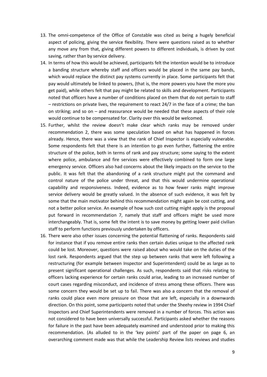- 13. The omni-competence of the Office of Constable was cited as being a hugely beneficial aspect of policing, giving the service flexibility. There were questions raised as to whether any move any from that, giving different powers to different individuals, is driven by cost saving, rather than by service delivery.
- 14. In terms of how this would be achieved, participants felt the intention would be to introduce a banding structure whereby staff and officers would be placed in the same pay bands, which would replace the distinct pay systems currently in place. Some participants felt that pay would ultimately be linked to powers, (that is, the more powers you have the more you get paid), while others felt that pay might be related to skills and development. Participants noted that officers have a number of conditions placed on them that do not pertain to staff – restrictions on private lives, the requirement to react 24/7 in the face of a crime; the ban on striking; and so on – and reassurance would be needed that these aspects of their role would continue to be compensated for. Clarity over this would be welcomed.
- 15. Further, whilst the review doesn't make clear which ranks may be removed under recommendation 2, there was some speculation based on what has happened in forces already. Hence, there was a view that the rank of Chief Inspector is especially vulnerable. Some respondents felt that there is an intention to go even further, flattening the entire structure of the police, both in terms of rank and pay structure; some saying to the extent where police, ambulance and fire services were effectively combined to form one large emergency service. Officers also had concerns about the likely impacts on the service to the public. It was felt that the abandoning of a rank structure might put the command and control nature of the police under threat, and that this would undermine operational capability and responsiveness. Indeed, evidence as to how fewer ranks might improve service delivery would be greatly valued. In the absence of such evidence, it was felt by some that the main motivator behind this recommendation might again be cost cutting, and not a better police service. An example of how such cost cutting might apply is the proposal put forward in recommendation 7, namely that staff and officers might be used more interchangeably. That is, some felt the intent is to save money by getting lower paid civilian staff to perform functions previously undertaken by officers.
- 16. There were also other issues concerning the potential flattening of ranks. Respondents said for instance that if you remove entire ranks then certain duties unique to the affected rank could be lost. Moreover, questions were raised about who would take on the duties of the lost rank. Respondents argued that the step up between ranks that were left following a restructuring (for example between Inspector and Superintendent) could be as large as to present significant operational challenges. As such, respondents said that risks relating to officers lacking experience for certain ranks could arise, leading to an increased number of court cases regarding misconduct, and incidence of stress among these officers. There was some concern they would be set up to fail. There was also a concern that the removal of ranks could place even more pressure on those that are left, especially in a downwards direction. On this point, some participants noted that under the Sheehy review in 1994 Chief Inspectors and Chief Superintendents were removed in a number of forces. This action was not considered to have been universally successful. Participants asked whether the reasons for failure in the past have been adequately examined and understood prior to making this recommendation. (As alluded to in the 'key points' part of the paper on page 6, an overarching comment made was that while the Leadership Review lists reviews and studies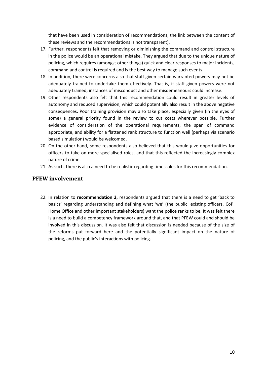that have been used in consideration of recommendations, the link between the content of these reviews and the recommendations is not transparent).

- 17. Further, respondents felt that removing or diminishing the command and control structure in the police would be an operational mistake. They argued that due to the unique nature of policing, which requires (amongst other things) quick and clear responses to major incidents, command and control is required and is the best way to manage such events.
- 18. In addition, there were concerns also that staff given certain warranted powers may not be adequately trained to undertake them effectively. That is, if staff given powers were not adequately trained, instances of misconduct and other misdemeanours could increase.
- 19. Other respondents also felt that this recommendation could result in greater levels of autonomy and reduced supervision, which could potentially also result in the above negative consequences. Poor training provision may also take place, especially given (in the eyes of some) a general priority found in the review to cut costs wherever possible. Further evidence of consideration of the operational requirements, the span of command appropriate, and ability for a flattened rank structure to function well (perhaps via scenario based simulation) would be welcomed.
- 20. On the other hand, some respondents also believed that this would give opportunities for officers to take on more specialised roles, and that this reflected the increasingly complex nature of crime.
- 21. As such, there is also a need to be realistic regarding timescales for this recommendation.

#### <span id="page-9-0"></span>**PFEW involvement**

22. In relation to **recommendation 2**, respondents argued that there is a need to get 'back to basics' regarding understanding and defining what 'we' (the public, existing officers, CoP, Home Office and other important stakeholders) want the police ranks to be. It was felt there is a need to build a competency framework around that, and that PFEW could and should be involved in this discussion. It was also felt that discussion is needed because of the size of the reforms put forward here and the potentially significant impact on the nature of policing, and the public's interactions with policing.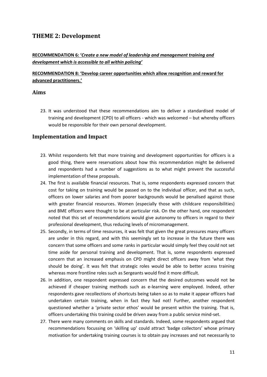## <span id="page-10-0"></span>**THEME 2: Development**

**RECOMMENDATION 6: '***Create a new model of leadership and management training and development which is accessible to all within policing'*

#### **RECOMMENDATION 8: 'Develop career opportunities which allow recognition and reward for advanced practitioners.'**

#### <span id="page-10-1"></span>**Aims**

23. It was understood that these recommendations aim to deliver a standardised model of training and development (CPD) to all officers - which was welcomed – but whereby officers would be responsible for their own personal development.

#### <span id="page-10-2"></span>**Implementation and Impact**

- 23. Whilst respondents felt that more training and development opportunities for officers is a good thing, there were reservations about how this recommendation might be delivered and respondents had a number of suggestions as to what might prevent the successful implementation of these proposals.
- 24. The first is available financial resources. That is, some respondents expressed concern that cost for taking on training would be passed on to the individual officer, and that as such, officers on lower salaries and from poorer backgrounds would be penalised against those with greater financial resources. Women (especially those with childcare responsibilities) and BME officers were thought to be at particular risk. On the other hand, one respondent noted that this set of recommendations would give autonomy to officers in regard to their professional development, thus reducing levels of micromanagement.
- 25. Secondly, in terms of time resources, it was felt that given the great pressures many officers are under in this regard, and with this seemingly set to increase in the future there was concern that some officers and some ranks in particular would simply feel they could not set time aside for personal training and development. That is, some respondents expressed concern that an increased emphasis on CPD might direct officers away from 'what they should be doing'. It was felt that strategic roles would be able to better access training whereas more frontline roles such as Sergeants would find it more difficult.
- 26. In addition, one respondent expressed concern that the desired outcomes would not be achieved if cheaper training methods such as e-learning were employed. Indeed, other respondents gave recollections of shortcuts being taken so as to make it appear officers had undertaken certain training, when in fact they had not! Further, another respondent questioned whether a 'private sector ethos' would be present within the training. That is, officers undertaking this training could be driven away from a public service mind-set.
- 27. There were many comments on skills and standards. Indeed, some respondents argued that recommendations focussing on 'skilling up' could attract 'badge collectors' whose primary motivation for undertaking training courses is to obtain pay increases and not necessarily to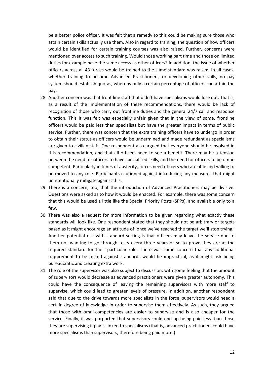be a better police officer. It was felt that a remedy to this could be making sure those who attain certain skills actually use them. Also in regard to training, the question of how officers would be identified for certain training courses was also raised. Further, concerns were mentioned over access to such training. Would those working part time and those on limited duties for example have the same access as other officers? In addition, the issue of whether officers across all 43 forces would be trained to the same standard was raised. In all cases, whether training to become Advanced Practitioners, or developing other skills, no pay system should establish quotas, whereby only a certain percentage of officers can attain the pay.

- 28. Another concern was that front line staff that didn't have specialisms would lose out. That is, as a result of the implementation of these recommendations, there would be lack of recognition of those who carry out frontline duties and the general 24/7 call and response function. This it was felt was especially unfair given that in the view of some, frontline officers would be paid less than specialists but have the greater impact in terms of public service. Further, there was concern that the extra training officers have to undergo in order to obtain their status as officers would be undermined and made redundant as specialisms are given to civilian staff. One respondent also argued that everyone should be involved in this recommendation, and that all officers need to see a benefit. There may be a tension between the need for officers to have specialised skills, and the need for officers to be omnicompetent. Particularly in times of austerity, forces need officers who are able and willing to be moved to any role. Participants cautioned against introducing any measures that might unintentionally mitigate against this.
- 29. There is a concern, too, that the introduction of Advanced Practitioners may be divisive. Questions were asked as to how it would be enacted. For example, there was some concern that this would be used a little like the Special Priority Posts (SPPs), and available only to a few.
- 30. There was also a request for more information to be given regarding what exactly these standards will look like. One respondent stated that they should not be arbitrary or targets based as it might encourage an attitude of 'once we've reached the target we'll stop trying.' Another potential risk with standard setting is that officers may leave the service due to them not wanting to go through tests every three years or so to prove they are at the required standard for their particular role. There was some concern that any additional requirement to be tested against standards would be impractical, as it might risk being bureaucratic and creating extra work.
- 31. The role of the supervisor was also subject to discussion, with some feeling that the amount of supervisors would decrease as advanced practitioners were given greater autonomy. This could have the consequence of leaving the remaining supervisors with more staff to supervise, which could lead to greater levels of pressure. In addition, another respondent said that due to the drive towards more specialists in the force, supervisors would need a certain degree of knowledge in order to supervise them effectively. As such, they argued that those with omni-competencies are easier to supervise and is also cheaper for the service. Finally, it was purported that supervisors could end up being paid less than those they are supervising if pay is linked to specialisms (that is, advanced practitioners could have more specialisms than supervisors, therefore being paid more.)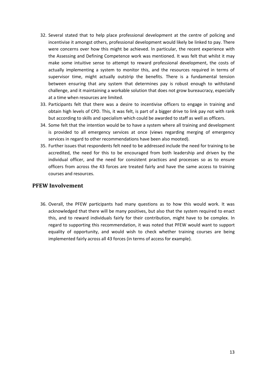- 32. Several stated that to help place professional development at the centre of policing and incentivise it amongst others, professional development would likely be linked to pay. There were concerns over how this might be achieved. In particular, the recent experience with the Assessing and Defining Competence work was mentioned. It was felt that whilst it may make some intuitive sense to attempt to reward professional development, the costs of actually implementing a system to monitor this, and the resources required in terms of supervisor time, might actually outstrip the benefits. There is a fundamental tension between ensuring that any system that determines pay is robust enough to withstand challenge, and it maintaining a workable solution that does not grow bureaucracy, especially at a time when resources are limited.
- 33. Participants felt that there was a desire to incentivise officers to engage in training and obtain high levels of CPD. This, it was felt, is part of a bigger drive to link pay not with rank but according to skills and specialism which could be awarded to staff as well as officers.
- 34. Some felt that the intention would be to have a system where all training and development is provided to all emergency services at once (views regarding merging of emergency services in regard to other recommendations have been also mooted).
- 35. Further issues that respondents felt need to be addressed include the need for training to be accredited, the need for this to be encouraged from both leadership and driven by the individual officer, and the need for consistent practices and processes so as to ensure officers from across the 43 forces are treated fairly and have the same access to training courses and resources.

#### <span id="page-12-0"></span>**PFEW Involvement**

36. Overall, the PFEW participants had many questions as to how this would work. It was acknowledged that there will be many positives, but also that the system required to enact this, and to reward individuals fairly for their contribution, might have to be complex. In regard to supporting this recommendation, it was noted that PFEW would want to support equality of opportunity, and would wish to check whether training courses are being implemented fairly across all 43 forces (in terms of access for example).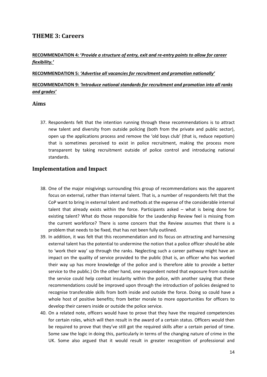### <span id="page-13-0"></span>**THEME 3: Careers**

#### **RECOMMENDATION 4: '***Provide a structure of entry, exit and re-entry points to allow for career flexibility.'*

#### **RECOMMENDATION 5:** *'Advertise all vacancies for recruitment and promotion nationally'*

#### **RECOMMENDATION 9:** *'Introduce national standards for recruitment and promotion into all ranks and grades'*

#### <span id="page-13-1"></span>**Aims**

37. Respondents felt that the intention running through these recommendations is to attract new talent and diversity from outside policing (both from the private and public sector), open up the applications process and remove the 'old boys club' (that is, reduce nepotism) that is sometimes perceived to exist in police recruitment, making the process more transparent by taking recruitment outside of police control and introducing national standards.

#### <span id="page-13-2"></span>**Implementation and Impact**

- 38. One of the major misgivings surrounding this group of recommendations was the apparent focus on external, rather than internal talent. That is, a number of respondents felt that the CoP want to bring in external talent and methods at the expense of the considerable internal talent that already exists within the force. Participants asked – what is being done for existing talent? What do those responsible for the Leadership Review feel is missing from the current workforce? There is some concern that the Review assumes that there is a problem that needs to be fixed, that has not been fully outlined.
- 39. In addition, it was felt that this recommendation and its focus on attracting and harnessing external talent has the potential to undermine the notion that a police officer should be able to 'work their way' up through the ranks. Neglecting such a career pathway might have an impact on the quality of service provided to the public (that is, an officer who has worked their way up has more knowledge of the police and is therefore able to provide a better service to the public.) On the other hand, one respondent noted that exposure from outside the service could help combat insularity within the police, with another saying that these recommendations could be improved upon through the introduction of policies designed to recognise transferable skills from both inside and outside the force. Doing so could have a whole host of positive benefits; from better morale to more opportunities for officers to develop their careers inside or outside the police service.
- 40. On a related note, officers would have to prove that they have the required competencies for certain roles, which will then result in the award of a certain status. Officers would then be required to prove that they've still got the required skills after a certain period of time. Some saw the logic in doing this, particularly in terms of the changing nature of crime in the UK. Some also argued that it would result in greater recognition of professional and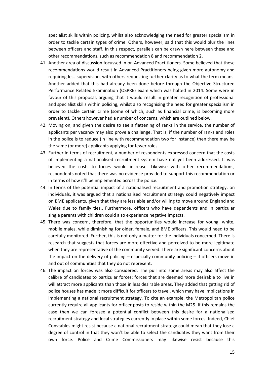specialist skills within policing, whilst also acknowledging the need for greater specialism in order to tackle certain types of crime. Others, however, said that this would blur the lines between officers and staff. In this respect, parallels can be drawn here between these and other recommendations, such as recommendation 8 and recommendation 2.

- 41. Another area of discussion focussed in on Advanced Practitioners. Some believed that these recommendations would result in Advanced Practitioners being given more autonomy and requiring less supervision, with others requesting further clarity as to what the term means. Another added that this had already been done before through the Objective Structured Performance Related Examination (OSPRE) exam which was halted in 2014. Some were in favour of this proposal, arguing that it would result in greater recognition of professional and specialist skills within policing, whilst also recognising the need for greater specialism in order to tackle certain crime (some of which, such as financial crime, is becoming more prevalent). Others however had a number of concerns, which are outlined below.
- 42. Moving on, and given the desire to see a flattening of ranks in the service, the number of applicants per vacancy may also prove a challenge. That is, if the number of ranks and roles in the police is to reduce (in line with recommendation two for instance) then there may be the same (or more) applicants applying for fewer roles.
- 43. Further in terms of recruitment, a number of respondents expressed concern that the costs of implementing a nationalised recruitment system have not yet been addressed. It was believed the costs to forces would increase. Likewise with other recommendations, respondents noted that there was no evidence provided to support this recommendation or in terms of how it'll be implemented across the police.
- 44. In terms of the potential impact of a nationalised recruitment and promotion strategy, on individuals, it was argued that a nationalised recruitment strategy could negatively impact on BME applicants, given that they are less able and/or willing to move around England and Wales due to family ties.. Furthermore, officers who have dependents and in particular single parents with children could also experience negative impacts.
- 45. There was concern, therefore, that the opportunities would increase for young, white, mobile males, while diminishing for older, female, and BME officers. This would need to be carefully monitored. Further, this is not only a matter for the individuals concerned. There is research that suggests that forces are more effective and perceived to be more legitimate when they are representative of the community served. There are significant concerns about the impact on the delivery of policing – especially community policing – if officers move in and out of communities that they do not represent.
- 46. The impact on forces was also considered. The pull into some areas may also affect the calibre of candidates to particular forces: forces that are deemed more desirable to live in will attract more applicants than those in less desirable areas. They added that getting rid of police houses has made it more difficult for officers to travel, which may have implications in implementing a national recruitment strategy. To cite an example, the Metropolitan police currently require all applicants for officer posts to reside within the M25. If this remains the case then we can foresee a potential conflict between this desire for a nationalised recruitment strategy and local strategies currently in place within some forces. Indeed, Chief Constables might resist because a national recruitment strategy could mean that they lose a degree of control in that they won't be able to select the candidates they want from their own force. Police and Crime Commissioners may likewise resist because this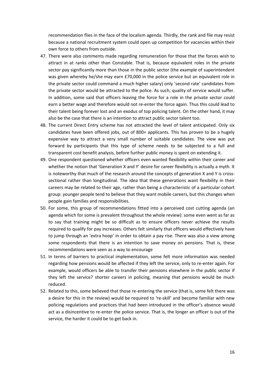recommendation flies in the face of the localism agenda. Thirdly, the rank and file may resist because a national recruitment system could open up competition for vacancies within their own force to others from outside.

- 47. There were also comments made regarding remuneration for those that the forces wish to attract in at ranks other than Constable. That is, because equivalent roles in the private sector pay significantly more than those in the public sector (the example of superintendent was given whereby he/she may earn £70,000 in the police service but an equivalent role in the private sector could command a much higher salary) only 'second rate' candidates from the private sector would be attracted to the police. As such, quality of service would suffer. In addition, some said that officers leaving the force for a role in the private sector could earn a better wage and therefore would not re-enter the force again. Thus this could lead to their talent being forever lost and an exodus of top policing talent. On the other hand, it may also be the case that there is an intention to attract public sector talent too.
- 48. The current Direct Entry scheme has not attracted the level of talent anticipated. Only six candidates have been offered jobs, out of 800+ applicants. This has proven to be a hugely expensive way to attract a very small number of suitable candidates. The view was put forward by participants that this type of scheme needs to be subjected to a full and transparent cost benefit analysis, before further public money is spent on extending it.
- 49. One respondent questioned whether officers even wanted flexibility within their career and whether the notion that 'Generation X and Y' desire for career flexibility is actually a myth. It is noteworthy that much of the research around the concepts of generation X and Y is crosssectional rather than longitudinal. The idea that these generations want flexibility in their careers may be related to their age, rather than being a characteristic of a particular cohort group: younger people tend to believe that they want mobile careers, but this changes when people gain families and responsibilities.
- 50. For some, this group of recommendations fitted into a perceived cost cutting agenda (an agenda which for some is prevalent throughout the whole review): some even went as far as to say that training might be so difficult as to ensure officers never achieve the results required to qualify for pay increases. Others felt similarly that officers would effectively have to jump through an 'extra hoop' in order to obtain a pay rise. There was also a view among some respondents that there is an intention to save money on pensions. That is, these recommendations were seen as a way to encourage
- 51. In terms of barriers to practical implementation, some felt more information was needed regarding how pensions would be affected if they left the service, only to re-enter again. For example, would officers be able to transfer their pensions elsewhere in the public sector if they left the service? shorter careers in policing, meaning that pensions would be much reduced.
- 52. Related to this, some believed that those re-entering the service (that is, some felt there was a desire for this in the review) would be required to 're-skill' and become familiar with new policing regulations and practices that had been introduced in the officer's absence would act as a disincentive to re-enter the police service. That is, the longer an officer is out of the service, the harder it could be to get back in.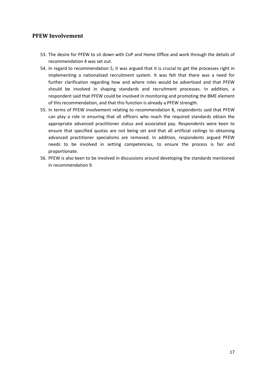#### <span id="page-16-0"></span>**PFEW Involvement**

- 53. The desire for PFEW to sit down with CoP and Home Office and work through the details of recommendation 4 was set out.
- 54. In regard to recommendation 5, it was argued that it is crucial to get the processes right in implementing a nationalised recruitment system. It was felt that there was a need for further clarification regarding how and where roles would be advertised and that PFEW should be involved in shaping standards and recruitment processes. In addition, a respondent said that PFEW could be involved in monitoring and promoting the BME element of this recommendation, and that this function is already a PFEW strength.
- 55. In terms of PFEW involvement relating to recommendation 8, respondents said that PFEW can play a role in ensuring that all officers who reach the required standards obtain the appropriate advanced practitioner status and associated pay. Respondents were keen to ensure that specified quotas are not being set and that all artificial ceilings to obtaining advanced practitioner specialisms are removed. In addition, respondents argued PFEW needs to be involved in setting competencies, to ensure the process is fair and proportionate.
- 56. PFEW is also keen to be involved in discussions around developing the standards mentioned in recommendation 9.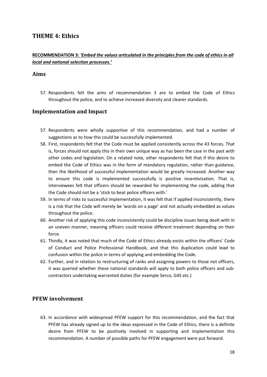### <span id="page-17-0"></span>**THEME 4: Ethics**

#### **RECOMMENDATION 3:** *'Embed the values articulated in the principles from the code of ethics in all local and national selection processes.'*

#### <span id="page-17-1"></span>**Aims**

57. Respondents felt the aims of recommendation 3 are to embed the Code of Ethics throughout the police, and to achieve increased diversity and clearer standards.

#### <span id="page-17-2"></span>**Implementation and Impact**

- 57. Respondents were wholly supportive of this recommendation, and had a number of suggestions as to how this could be successfully implemented.
- 58. First, respondents felt that the Code must be applied consistently across the 43 forces. That is, forces should not apply this in their own unique way as has been the case in the past with other codes and legislation. On a related note, other respondents felt that if this desire to embed the Code of Ethics was in the form of mandatory regulation, rather than guidance, then the likelihood of successful implementation would be greatly increased. Another way to ensure this code is implemented successfully is positive incentivisation. That is, interviewees felt that officers should be rewarded for implementing the code, adding that the Code should not be a 'stick to beat police officers with.'
- 59. In terms of risks to successful implementation, it was felt that if applied inconsistently, there is a risk that the Code will merely be 'words on a page' and not actually embedded as values throughout the police.
- 60. Another risk of applying this code inconsistently could be discipline issues being dealt with in an uneven manner, meaning officers could receive different treatment depending on their force.
- 61. Thirdly, it was noted that much of the Code of Ethics already exists within the officers' Code of Conduct and Police Professional Handbook, and that this duplication could lead to confusion within the police in terms of applying and embedding the Code.
- 62. Further, and in relation to restructuring of ranks and assigning powers to those not officers, it was queried whether these national standards will apply to both police officers and subcontractors undertaking warranted duties (for example Serco, G4S etc.)

#### <span id="page-17-3"></span>**PFEW involvement**

63. In accordance with widespread PFEW support for this recommendation, and the fact that PFEW has already signed up to the ideas expressed in the Code of Ethics, there is a definite desire from PFEW to be positively involved in supporting and implementation this recommendation. A number of possible paths for PFEW engagement were put forward.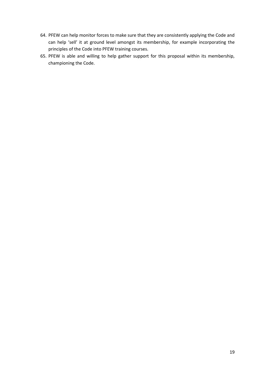- 64. PFEW can help monitor forces to make sure that they are consistently applying the Code and can help 'sell' it at ground level amongst its membership, for example incorporating the principles of the Code into PFEW training courses.
- 65. PFEW is able and willing to help gather support for this proposal within its membership, championing the Code.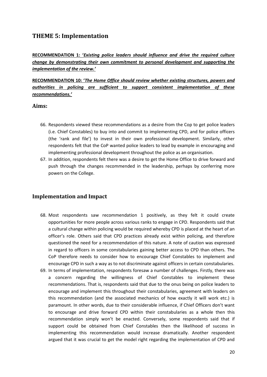## <span id="page-19-0"></span>**THEME 5: Implementation**

**RECOMMENDATION 1: '***Existing police leaders should influence and drive the required culture change by demonstrating their own commitment to personal development and supporting the implementation of the review.'*

**RECOMMENDATION 10: '***The Home Office should review whether existing structures, powers and authorities in policing are sufficient to support consistent implementation of these recommendations.'*

#### <span id="page-19-1"></span>**Aims:**

- 66. Respondents viewed these recommendations as a desire from the Cop to get police leaders (i.e. Chief Constables) to buy into and commit to implementing CPD, and for police officers (the 'rank and file') to invest in their own professional development. Similarly, other respondents felt that the CoP wanted police leaders to lead by example in encouraging and implementing professional development throughout the police as an organisation.
- 67. In addition, respondents felt there was a desire to get the Home Office to drive forward and push through the changes recommended in the leadership, perhaps by conferring more powers on the College.

#### <span id="page-19-2"></span>**Implementation and Impact**

- 68. Most respondents saw recommendation 1 positively, as they felt it could create opportunities for more people across various ranks to engage in CPD. Respondents said that a cultural change within policing would be required whereby CPD is placed at the heart of an officer's role. Others said that CPD practices already exist within policing, and therefore questioned the need for a recommendation of this nature. A note of caution was expressed in regard to officers in some constabularies gaining better access to CPD than others. The CoP therefore needs to consider how to encourage Chief Constables to implement and encourage CPD in such a way as to not discriminate against officers in certain constabularies.
- 69. In terms of implementation, respondents foresaw a number of challenges. Firstly, there was a concern regarding the willingness of Chief Constables to implement these recommendations. That is, respondents said that due to the onus being on police leaders to encourage and implement this throughout their constabularies, agreement with leaders on this recommendation (and the associated mechanics of how exactly it will work etc.) is paramount. In other words, due to their considerable influence, if Chief Officers don't want to encourage and drive forward CPD within their constabularies as a whole then this recommendation simply won't be enacted. Conversely, some respondents said that if support could be obtained from Chief Constables then the likelihood of success in implementing this recommendation would increase dramatically. Another respondent argued that it was crucial to get the model right regarding the implementation of CPD and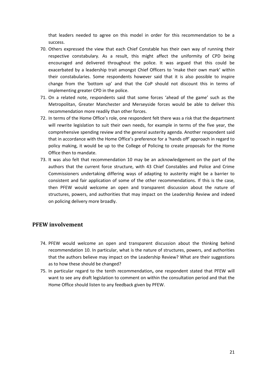that leaders needed to agree on this model in order for this recommendation to be a success.

- 70. Others expressed the view that each Chief Constable has their own way of running their respective constabulary. As a result, this might affect the uniformity of CPD being encouraged and delivered throughout the police. It was argued that this could be exacerbated by a leadership trait amongst Chief Officers to 'make their own mark' within their constabularies. Some respondents however said that it is also possible to inspire change from the 'bottom up' and that the CoP should not discount this in terms of implementing greater CPD in the police.
- 71. On a related note, respondents said that some forces 'ahead of the game' such as the Metropolitan, Greater Manchester and Merseyside forces would be able to deliver this recommendation more readily than other forces.
- 72. In terms of the Home Office's role, one respondent felt there was a risk that the department will rewrite legislation to suit their own needs, for example in terms of the five year, the comprehensive spending review and the general austerity agenda. Another respondent said that in accordance with the Home Office's preference for a 'hands off' approach in regard to policy making, it would be up to the College of Policing to create proposals for the Home Office then to mandate.
- 73. It was also felt that recommendation 10 may be an acknowledgement on the part of the authors that the current force structure, with 43 Chief Constables and Police and Crime Commissioners undertaking differing ways of adapting to austerity might be a barrier to consistent and fair application of some of the other recommendations. If this is the case, then PFEW would welcome an open and transparent discussion about the nature of structures, powers, and authorities that may impact on the Leadership Review and indeed on policing delivery more broadly.

#### <span id="page-20-0"></span>**PFEW involvement**

- 74. PFEW would welcome an open and transparent discussion about the thinking behind recommendation 10. In particular, what is the nature of structures, powers, and authorities that the authors believe may impact on the Leadership Review? What are their suggestions as to how these should be changed?
- 75. In particular regard to the tenth recommendation**,** one respondent stated that PFEW will want to see any draft legislation to comment on within the consultation period and that the Home Office should listen to any feedback given by PFEW.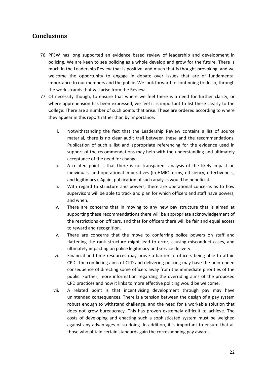## <span id="page-21-0"></span>**Conclusions**

- 76. PFEW has long supported an evidence based review of leadership and development in policing. We are keen to see policing as a whole develop and grow for the future. There is much in the Leadership Review that is positive, and much that is thought provoking, and we welcome the opportunity to engage in debate over issues that are of fundamental importance to our members and the public. We look forward to continuing to do so, through the work strands that will arise from the Review.
- 77. Of necessity though, to ensure that where we feel there is a need for further clarity, or where apprehension has been expressed, we feel it is important to list these clearly to the College. There are a number of such points that arise. These are ordered according to where they appear in this report rather than by importance.
	- i. Notwithstanding the fact that the Leadership Review contains a list of source material, there is no clear audit trail between these and the recommendations. Publication of such a list and appropriate referencing for the evidence used in support of the recommendations may help with the understanding and ultimately acceptance of the need for change.
	- ii. A related point is that there is no transparent analysis of the likely impact on individuals, and operational imperatives (in HMIC terms, efficiency, effectiveness, and legitimacy). Again, publication of such analysis would be beneficial.
	- iii. With regard to structure and powers, there are operational concerns as to how supervisors will be able to track and plan for which officers and staff have powers, and when.
	- iv. There are concerns that in moving to any new pay structure that is aimed at supporting these recommendations there will be appropriate acknowledgement of the restrictions on officers, and that for officers there will be fair and equal access to reward and recognition.
	- v. There are concerns that the move to conferring police powers on staff and flattening the rank structure might lead to error, causing misconduct cases, and ultimately impacting on police legitimacy and service delivery.
	- vi. Financial and time resources may prove a barrier to officers being able to attain CPD. The conflicting aims of CPD and delivering policing may have the unintended consequence of directing some officers away from the immediate priorities of the public. Further, more information regarding the overriding aims of the proposed CPD practices and how it links to more effective policing would be welcome.
	- vii. A related point is that incentivising development through pay may have unintended consequences. There is a tension between the design of a pay system robust enough to withstand challenge, and the need for a workable solution that does not grow bureaucracy. This has proven extremely difficult to achieve. The costs of developing and enacting such a sophisticated system must be weighed against any advantages of so doing. In addition, it is important to ensure that all those who obtain certain standards gain the corresponding pay awards.